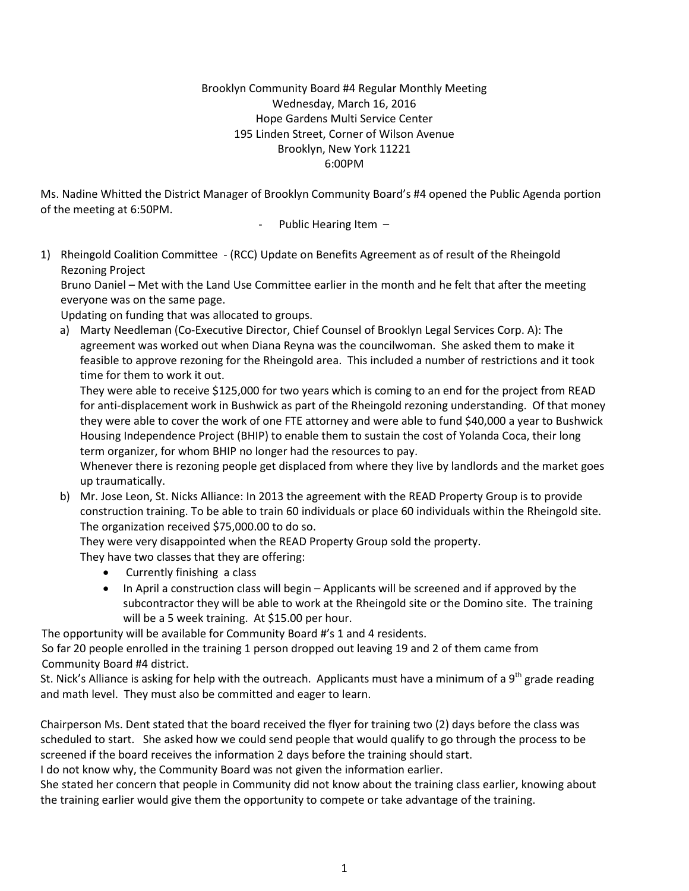### Brooklyn Community Board #4 Regular Monthly Meeting Wednesday, March 16, 2016 Hope Gardens Multi Service Center 195 Linden Street, Corner of Wilson Avenue Brooklyn, New York 11221 6:00PM

Ms. Nadine Whitted the District Manager of Brooklyn Community Board's #4 opened the Public Agenda portion of the meeting at 6:50PM.

Public Hearing Item -

1) Rheingold Coalition Committee - (RCC) Update on Benefits Agreement as of result of the Rheingold Rezoning Project

Bruno Daniel – Met with the Land Use Committee earlier in the month and he felt that after the meeting everyone was on the same page.

Updating on funding that was allocated to groups.

a) Marty Needleman (Co-Executive Director, Chief Counsel of Brooklyn Legal Services Corp. A): The agreement was worked out when Diana Reyna was the councilwoman. She asked them to make it feasible to approve rezoning for the Rheingold area. This included a number of restrictions and it took time for them to work it out.

They were able to receive \$125,000 for two years which is coming to an end for the project from READ for anti-displacement work in Bushwick as part of the Rheingold rezoning understanding. Of that money they were able to cover the work of one FTE attorney and were able to fund \$40,000 a year to Bushwick Housing Independence Project (BHIP) to enable them to sustain the cost of Yolanda Coca, their long term organizer, for whom BHIP no longer had the resources to pay.

Whenever there is rezoning people get displaced from where they live by landlords and the market goes up traumatically.

b) Mr. Jose Leon, St. Nicks Alliance: In 2013 the agreement with the READ Property Group is to provide construction training. To be able to train 60 individuals or place 60 individuals within the Rheingold site. The organization received \$75,000.00 to do so.

They were very disappointed when the READ Property Group sold the property.

They have two classes that they are offering:

- Currently finishing a class
- In April a construction class will begin Applicants will be screened and if approved by the subcontractor they will be able to work at the Rheingold site or the Domino site. The training will be a 5 week training. At \$15.00 per hour.

The opportunity will be available for Community Board #'s 1 and 4 residents.

 So far 20 people enrolled in the training 1 person dropped out leaving 19 and 2 of them came from Community Board #4 district.

St. Nick's Alliance is asking for help with the outreach. Applicants must have a minimum of a 9<sup>th</sup> grade reading and math level. They must also be committed and eager to learn.

Chairperson Ms. Dent stated that the board received the flyer for training two (2) days before the class was scheduled to start. She asked how we could send people that would qualify to go through the process to be screened if the board receives the information 2 days before the training should start.

I do not know why, the Community Board was not given the information earlier.

She stated her concern that people in Community did not know about the training class earlier, knowing about the training earlier would give them the opportunity to compete or take advantage of the training.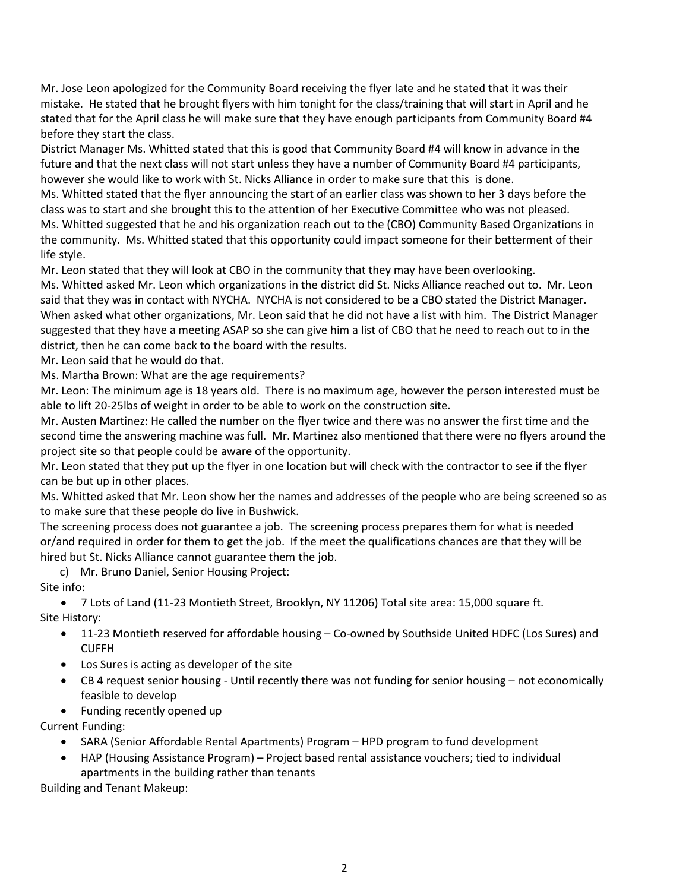Mr. Jose Leon apologized for the Community Board receiving the flyer late and he stated that it was their mistake. He stated that he brought flyers with him tonight for the class/training that will start in April and he stated that for the April class he will make sure that they have enough participants from Community Board #4 before they start the class.

District Manager Ms. Whitted stated that this is good that Community Board #4 will know in advance in the future and that the next class will not start unless they have a number of Community Board #4 participants, however she would like to work with St. Nicks Alliance in order to make sure that this is done.

Ms. Whitted stated that the flyer announcing the start of an earlier class was shown to her 3 days before the class was to start and she brought this to the attention of her Executive Committee who was not pleased.

Ms. Whitted suggested that he and his organization reach out to the (CBO) Community Based Organizations in the community. Ms. Whitted stated that this opportunity could impact someone for their betterment of their life style.

Mr. Leon stated that they will look at CBO in the community that they may have been overlooking.

Ms. Whitted asked Mr. Leon which organizations in the district did St. Nicks Alliance reached out to. Mr. Leon said that they was in contact with NYCHA. NYCHA is not considered to be a CBO stated the District Manager. When asked what other organizations, Mr. Leon said that he did not have a list with him. The District Manager suggested that they have a meeting ASAP so she can give him a list of CBO that he need to reach out to in the district, then he can come back to the board with the results.

Mr. Leon said that he would do that.

Ms. Martha Brown: What are the age requirements?

Mr. Leon: The minimum age is 18 years old. There is no maximum age, however the person interested must be able to lift 20-25lbs of weight in order to be able to work on the construction site.

Mr. Austen Martinez: He called the number on the flyer twice and there was no answer the first time and the second time the answering machine was full. Mr. Martinez also mentioned that there were no flyers around the project site so that people could be aware of the opportunity.

Mr. Leon stated that they put up the flyer in one location but will check with the contractor to see if the flyer can be but up in other places.

Ms. Whitted asked that Mr. Leon show her the names and addresses of the people who are being screened so as to make sure that these people do live in Bushwick.

The screening process does not guarantee a job. The screening process prepares them for what is needed or/and required in order for them to get the job. If the meet the qualifications chances are that they will be hired but St. Nicks Alliance cannot guarantee them the job.

c) Mr. Bruno Daniel, Senior Housing Project:

Site info:

• 7 Lots of Land (11-23 Montieth Street, Brooklyn, NY 11206) Total site area: 15,000 square ft. Site History:

- 11-23 Montieth reserved for affordable housing Co-owned by Southside United HDFC (Los Sures) and CUFFH
- Los Sures is acting as developer of the site
- CB 4 request senior housing Until recently there was not funding for senior housing not economically feasible to develop
- Funding recently opened up

Current Funding:

- SARA (Senior Affordable Rental Apartments) Program HPD program to fund development
- HAP (Housing Assistance Program) Project based rental assistance vouchers; tied to individual apartments in the building rather than tenants

Building and Tenant Makeup: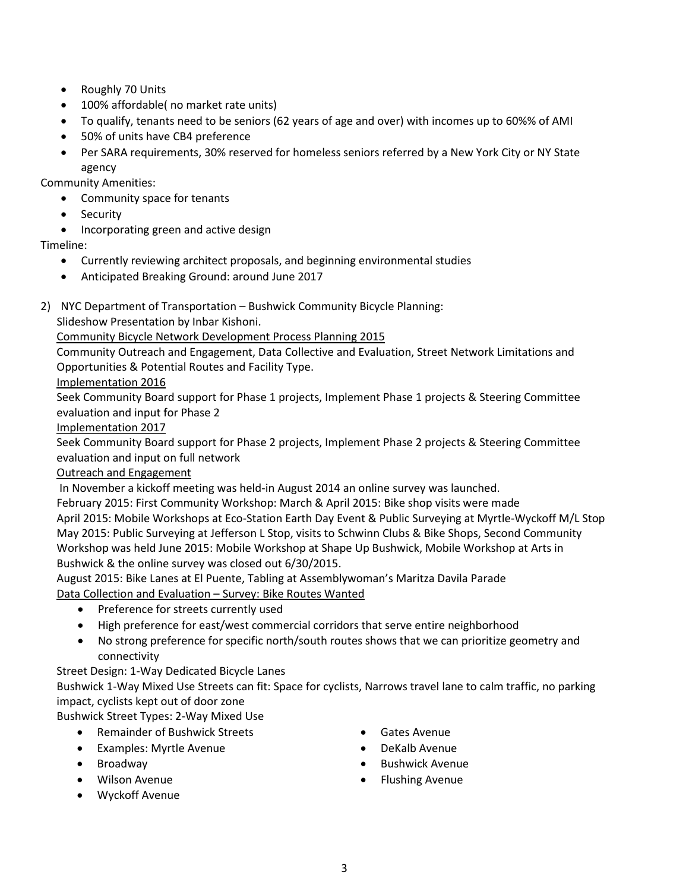- Roughly 70 Units
- 100% affordable( no market rate units)
- To qualify, tenants need to be seniors (62 years of age and over) with incomes up to 60%% of AMI
- 50% of units have CB4 preference
- Per SARA requirements, 30% reserved for homeless seniors referred by a New York City or NY State agency

Community Amenities:

- Community space for tenants
- Security
- Incorporating green and active design

# Timeline:

- Currently reviewing architect proposals, and beginning environmental studies
- Anticipated Breaking Ground: around June 2017
- 2) NYC Department of Transportation Bushwick Community Bicycle Planning:

Slideshow Presentation by Inbar Kishoni.

Community Bicycle Network Development Process Planning 2015

Community Outreach and Engagement, Data Collective and Evaluation, Street Network Limitations and Opportunities & Potential Routes and Facility Type.

Implementation 2016

Seek Community Board support for Phase 1 projects, Implement Phase 1 projects & Steering Committee evaluation and input for Phase 2

### Implementation 2017

Seek Community Board support for Phase 2 projects, Implement Phase 2 projects & Steering Committee evaluation and input on full network

Outreach and Engagement

In November a kickoff meeting was held-in August 2014 an online survey was launched.

February 2015: First Community Workshop: March & April 2015: Bike shop visits were made April 2015: Mobile Workshops at Eco-Station Earth Day Event & Public Surveying at Myrtle-Wyckoff M/L Stop May 2015: Public Surveying at Jefferson L Stop, visits to Schwinn Clubs & Bike Shops, Second Community Workshop was held June 2015: Mobile Workshop at Shape Up Bushwick, Mobile Workshop at Arts in Bushwick & the online survey was closed out 6/30/2015.

August 2015: Bike Lanes at El Puente, Tabling at Assemblywoman's Maritza Davila Parade Data Collection and Evaluation – Survey: Bike Routes Wanted

- Preference for streets currently used
- High preference for east/west commercial corridors that serve entire neighborhood
- No strong preference for specific north/south routes shows that we can prioritize geometry and connectivity

Street Design: 1-Way Dedicated Bicycle Lanes

Bushwick 1-Way Mixed Use Streets can fit: Space for cyclists, Narrows travel lane to calm traffic, no parking impact, cyclists kept out of door zone

Bushwick Street Types: 2-Way Mixed Use

- Remainder of Bushwick Streets
- Examples: Myrtle Avenue
- Broadway
- Wilson Avenue
- Wyckoff Avenue
- Gates Avenue
- DeKalb Avenue
- Bushwick Avenue
- Flushing Avenue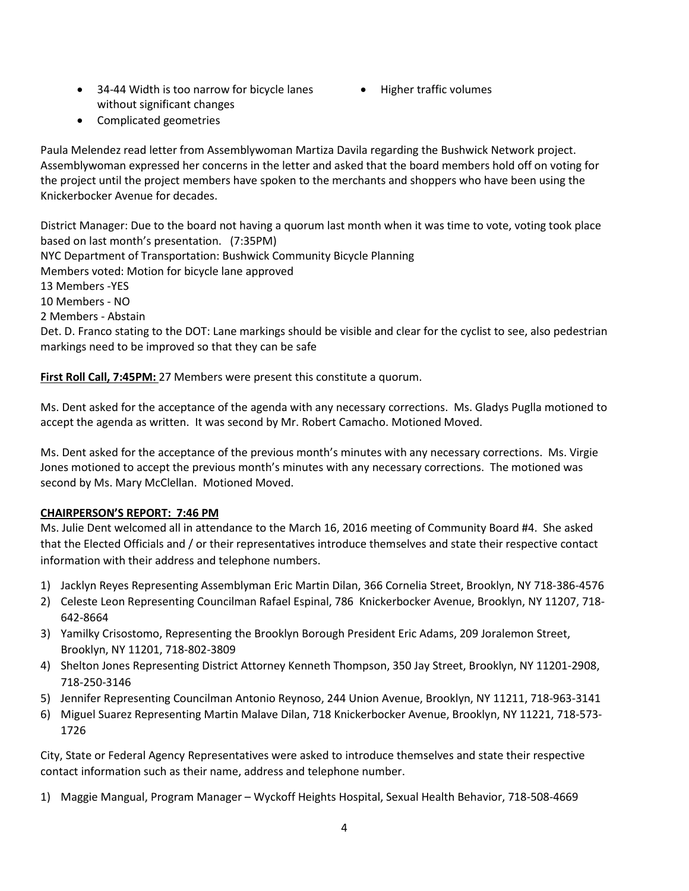- 34-44 Width is too narrow for bicycle lanes without significant changes
- Higher traffic volumes
- Complicated geometries

Paula Melendez read letter from Assemblywoman Martiza Davila regarding the Bushwick Network project. Assemblywoman expressed her concerns in the letter and asked that the board members hold off on voting for the project until the project members have spoken to the merchants and shoppers who have been using the Knickerbocker Avenue for decades.

District Manager: Due to the board not having a quorum last month when it was time to vote, voting took place based on last month's presentation. (7:35PM) NYC Department of Transportation: Bushwick Community Bicycle Planning Members voted: Motion for bicycle lane approved 13 Members -YES 10 Members - NO 2 Members - Abstain Det. D. Franco stating to the DOT: Lane markings should be visible and clear for the cyclist to see, also pedestrian markings need to be improved so that they can be safe

First Roll Call, 7:45PM: 27 Members were present this constitute a quorum.

Ms. Dent asked for the acceptance of the agenda with any necessary corrections. Ms. Gladys Puglla motioned to accept the agenda as written. It was second by Mr. Robert Camacho. Motioned Moved.

Ms. Dent asked for the acceptance of the previous month's minutes with any necessary corrections. Ms. Virgie Jones motioned to accept the previous month's minutes with any necessary corrections. The motioned was second by Ms. Mary McClellan. Motioned Moved.

### **CHAIRPERSON'S REPORT: 7:46 PM**

Ms. Julie Dent welcomed all in attendance to the March 16, 2016 meeting of Community Board #4. She asked that the Elected Officials and / or their representatives introduce themselves and state their respective contact information with their address and telephone numbers.

- 1) Jacklyn Reyes Representing Assemblyman Eric Martin Dilan, 366 Cornelia Street, Brooklyn, NY 718-386-4576
- 2) Celeste Leon Representing Councilman Rafael Espinal, 786 Knickerbocker Avenue, Brooklyn, NY 11207, 718- 642-8664
- 3) Yamilky Crisostomo, Representing the Brooklyn Borough President Eric Adams, 209 Joralemon Street, Brooklyn, NY 11201, 718-802-3809
- 4) Shelton Jones Representing District Attorney Kenneth Thompson, 350 Jay Street, Brooklyn, NY 11201-2908, 718-250-3146
- 5) Jennifer Representing Councilman Antonio Reynoso, 244 Union Avenue, Brooklyn, NY 11211, 718-963-3141
- 6) Miguel Suarez Representing Martin Malave Dilan, 718 Knickerbocker Avenue, Brooklyn, NY 11221, 718-573- 1726

City, State or Federal Agency Representatives were asked to introduce themselves and state their respective contact information such as their name, address and telephone number.

1) Maggie Mangual, Program Manager – Wyckoff Heights Hospital, Sexual Health Behavior, 718-508-4669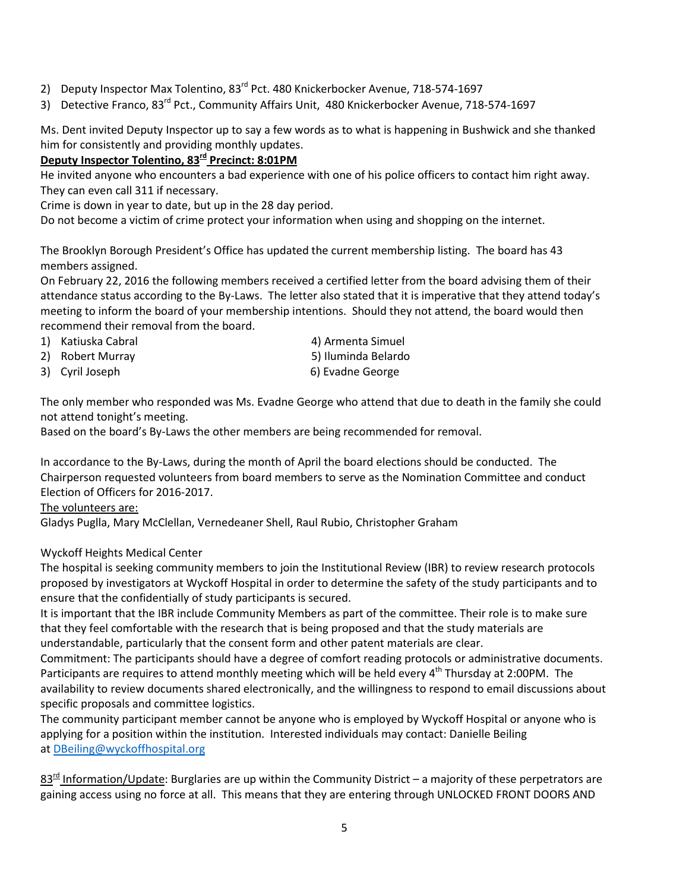- 2) Deputy Inspector Max Tolentino, 83<sup>rd</sup> Pct. 480 Knickerbocker Avenue, 718-574-1697
- 3) Detective Franco, 83<sup>rd</sup> Pct., Community Affairs Unit, 480 Knickerbocker Avenue, 718-574-1697

Ms. Dent invited Deputy Inspector up to say a few words as to what is happening in Bushwick and she thanked him for consistently and providing monthly updates.

**Deputy Inspector Tolentino, 83rd Precinct: 8:01PM**

He invited anyone who encounters a bad experience with one of his police officers to contact him right away. They can even call 311 if necessary.

Crime is down in year to date, but up in the 28 day period.

Do not become a victim of crime protect your information when using and shopping on the internet.

The Brooklyn Borough President's Office has updated the current membership listing. The board has 43 members assigned.

On February 22, 2016 the following members received a certified letter from the board advising them of their attendance status according to the By-Laws. The letter also stated that it is imperative that they attend today's meeting to inform the board of your membership intentions. Should they not attend, the board would then recommend their removal from the board.

1) Katiuska Cabral 1988 (2001) (2012) 4) Armenta Simuel

- 2) Robert Murray 1980 1990 120 States 1, 1990 100 States 1, 1990 100 States 1, 1990 100 States 1, 1990 100 States 1, 1990 100 States 1, 1990 100 States 1, 1990 100 States 1, 1990 100 States 1, 1990 100 States 1, 1990 100 S
	-

3) Cyril Joseph 6) Evadne George

The only member who responded was Ms. Evadne George who attend that due to death in the family she could not attend tonight's meeting.

Based on the board's By-Laws the other members are being recommended for removal.

In accordance to the By-Laws, during the month of April the board elections should be conducted. The Chairperson requested volunteers from board members to serve as the Nomination Committee and conduct Election of Officers for 2016-2017.

The volunteers are:

Gladys Puglla, Mary McClellan, Vernedeaner Shell, Raul Rubio, Christopher Graham

Wyckoff Heights Medical Center

The hospital is seeking community members to join the Institutional Review (IBR) to review research protocols proposed by investigators at Wyckoff Hospital in order to determine the safety of the study participants and to ensure that the confidentially of study participants is secured.

It is important that the IBR include Community Members as part of the committee. Their role is to make sure that they feel comfortable with the research that is being proposed and that the study materials are understandable, particularly that the consent form and other patent materials are clear.

Commitment: The participants should have a degree of comfort reading protocols or administrative documents. Participants are requires to attend monthly meeting which will be held every 4<sup>th</sup> Thursday at 2:00PM. The availability to review documents shared electronically, and the willingness to respond to email discussions about specific proposals and committee logistics.

The community participant member cannot be anyone who is employed by Wyckoff Hospital or anyone who is applying for a position within the institution. Interested individuals may contact: Danielle Beiling at [DBeiling@wyckoffhospital.org](mailto:DBeiling@wyckoffhospital.org)

 $83<sup>rd</sup>$  Information/Update: Burglaries are up within the Community District – a majority of these perpetrators are gaining access using no force at all. This means that they are entering through UNLOCKED FRONT DOORS AND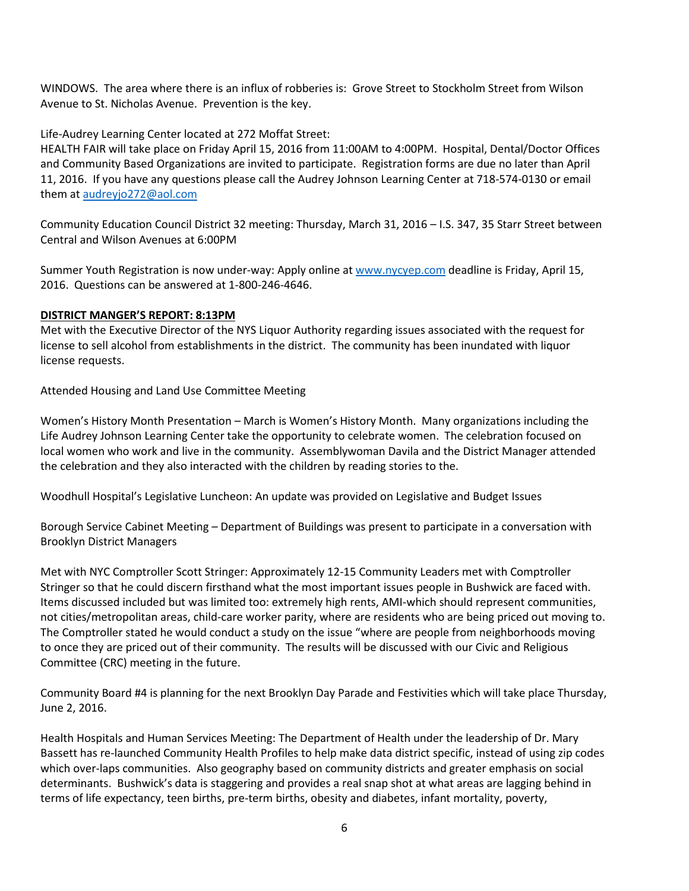WINDOWS. The area where there is an influx of robberies is: Grove Street to Stockholm Street from Wilson Avenue to St. Nicholas Avenue. Prevention is the key.

### Life-Audrey Learning Center located at 272 Moffat Street:

HEALTH FAIR will take place on Friday April 15, 2016 from 11:00AM to 4:00PM. Hospital, Dental/Doctor Offices and Community Based Organizations are invited to participate. Registration forms are due no later than April 11, 2016. If you have any questions please call the Audrey Johnson Learning Center at 718-574-0130 or email them a[t audreyjo272@aol.com](mailto:audreyjo272@aol.com) 

Community Education Council District 32 meeting: Thursday, March 31, 2016 – I.S. 347, 35 Starr Street between Central and Wilson Avenues at 6:00PM

Summer Youth Registration is now under-way: Apply online at [www.nycyep.com](http://www.nycyep.com/) deadline is Friday, April 15, 2016. Questions can be answered at 1-800-246-4646.

#### **DISTRICT MANGER'S REPORT: 8:13PM**

Met with the Executive Director of the NYS Liquor Authority regarding issues associated with the request for license to sell alcohol from establishments in the district. The community has been inundated with liquor license requests.

Attended Housing and Land Use Committee Meeting

Women's History Month Presentation – March is Women's History Month. Many organizations including the Life Audrey Johnson Learning Center take the opportunity to celebrate women. The celebration focused on local women who work and live in the community. Assemblywoman Davila and the District Manager attended the celebration and they also interacted with the children by reading stories to the.

Woodhull Hospital's Legislative Luncheon: An update was provided on Legislative and Budget Issues

Borough Service Cabinet Meeting – Department of Buildings was present to participate in a conversation with Brooklyn District Managers

Met with NYC Comptroller Scott Stringer: Approximately 12-15 Community Leaders met with Comptroller Stringer so that he could discern firsthand what the most important issues people in Bushwick are faced with. Items discussed included but was limited too: extremely high rents, AMI-which should represent communities, not cities/metropolitan areas, child-care worker parity, where are residents who are being priced out moving to. The Comptroller stated he would conduct a study on the issue "where are people from neighborhoods moving to once they are priced out of their community. The results will be discussed with our Civic and Religious Committee (CRC) meeting in the future.

Community Board #4 is planning for the next Brooklyn Day Parade and Festivities which will take place Thursday, June 2, 2016.

Health Hospitals and Human Services Meeting: The Department of Health under the leadership of Dr. Mary Bassett has re-launched Community Health Profiles to help make data district specific, instead of using zip codes which over-laps communities. Also geography based on community districts and greater emphasis on social determinants. Bushwick's data is staggering and provides a real snap shot at what areas are lagging behind in terms of life expectancy, teen births, pre-term births, obesity and diabetes, infant mortality, poverty,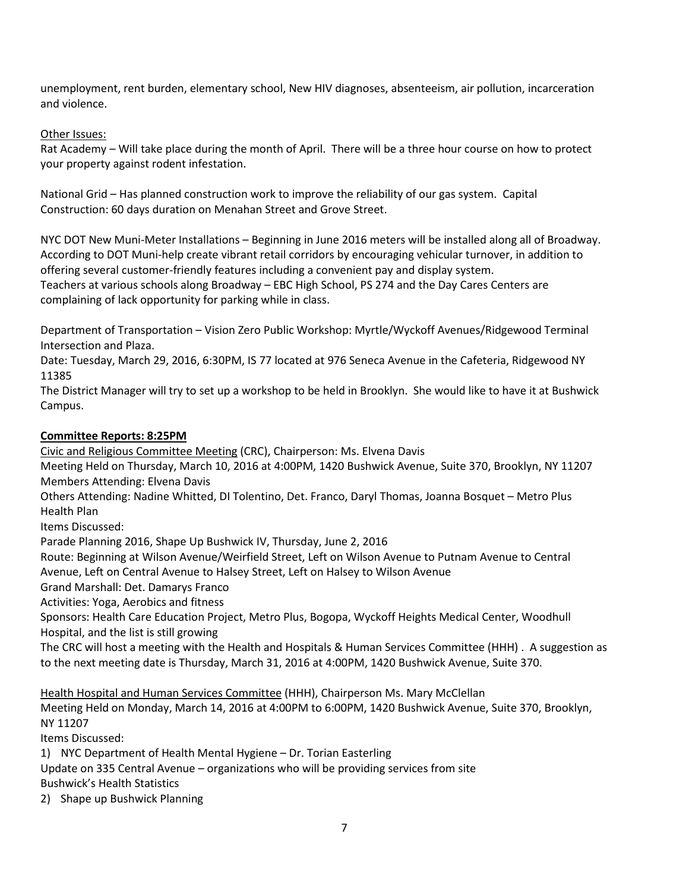unemployment, rent burden, elementary school, New HIV diagnoses, absenteeism, air pollution, incarceration and violence.

Other Issues:

Rat Academy – Will take place during the month of April. There will be a three hour course on how to protect your property against rodent infestation.

National Grid – Has planned construction work to improve the reliability of our gas system. Capital Construction: 60 days duration on Menahan Street and Grove Street.

NYC DOT New Muni-Meter Installations – Beginning in June 2016 meters will be installed along all of Broadway. According to DOT Muni-help create vibrant retail corridors by encouraging vehicular turnover, in addition to offering several customer-friendly features including a convenient pay and display system. Teachers at various schools along Broadway – EBC High School, PS 274 and the Day Cares Centers are complaining of lack opportunity for parking while in class.

Department of Transportation – Vision Zero Public Workshop: Myrtle/Wyckoff Avenues/Ridgewood Terminal Intersection and Plaza.

Date: Tuesday, March 29, 2016, 6:30PM, IS 77 located at 976 Seneca Avenue in the Cafeteria, Ridgewood NY 11385

The District Manager will try to set up a workshop to be held in Brooklyn. She would like to have it at Bushwick Campus.

### **Committee Reports: 8:25PM**

Civic and Religious Committee Meeting (CRC), Chairperson: Ms. Elvena Davis

Meeting Held on Thursday, March 10, 2016 at 4:00PM, 1420 Bushwick Avenue, Suite 370, Brooklyn, NY 11207 Members Attending: Elvena Davis

Others Attending: Nadine Whitted, DI Tolentino, Det. Franco, Daryl Thomas, Joanna Bosquet – Metro Plus Health Plan

Items Discussed:

Parade Planning 2016, Shape Up Bushwick IV, Thursday, June 2, 2016

Route: Beginning at Wilson Avenue/Weirfield Street, Left on Wilson Avenue to Putnam Avenue to Central Avenue, Left on Central Avenue to Halsey Street, Left on Halsey to Wilson Avenue

Grand Marshall: Det. Damarys Franco

Activities: Yoga, Aerobics and fitness

Sponsors: Health Care Education Project, Metro Plus, Bogopa, Wyckoff Heights Medical Center, Woodhull Hospital, and the list is still growing

The CRC will host a meeting with the Health and Hospitals & Human Services Committee (HHH) . A suggestion as to the next meeting date is Thursday, March 31, 2016 at 4:00PM, 1420 Bushwick Avenue, Suite 370.

Health Hospital and Human Services Committee (HHH), Chairperson Ms. Mary McClellan Meeting Held on Monday, March 14, 2016 at 4:00PM to 6:00PM, 1420 Bushwick Avenue, Suite 370, Brooklyn, NY 11207

Items Discussed:

1) NYC Department of Health Mental Hygiene – Dr. Torian Easterling

Update on 335 Central Avenue – organizations who will be providing services from site Bushwick's Health Statistics

2) Shape up Bushwick Planning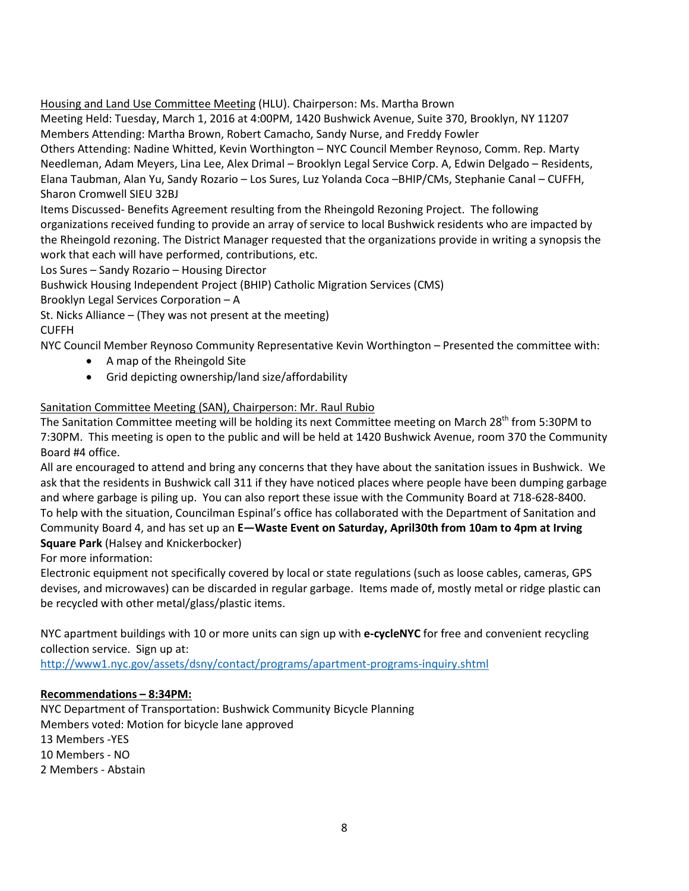Housing and Land Use Committee Meeting (HLU). Chairperson: Ms. Martha Brown

Meeting Held: Tuesday, March 1, 2016 at 4:00PM, 1420 Bushwick Avenue, Suite 370, Brooklyn, NY 11207 Members Attending: Martha Brown, Robert Camacho, Sandy Nurse, and Freddy Fowler Others Attending: Nadine Whitted, Kevin Worthington – NYC Council Member Reynoso, Comm. Rep. Marty Needleman, Adam Meyers, Lina Lee, Alex Drimal – Brooklyn Legal Service Corp. A, Edwin Delgado – Residents, Elana Taubman, Alan Yu, Sandy Rozario – Los Sures, Luz Yolanda Coca –BHIP/CMs, Stephanie Canal – CUFFH, Sharon Cromwell SIEU 32BJ

Items Discussed- Benefits Agreement resulting from the Rheingold Rezoning Project. The following organizations received funding to provide an array of service to local Bushwick residents who are impacted by the Rheingold rezoning. The District Manager requested that the organizations provide in writing a synopsis the work that each will have performed, contributions, etc.

Los Sures – Sandy Rozario – Housing Director

Bushwick Housing Independent Project (BHIP) Catholic Migration Services (CMS)

Brooklyn Legal Services Corporation – A

St. Nicks Alliance – (They was not present at the meeting) CUFFH

NYC Council Member Reynoso Community Representative Kevin Worthington – Presented the committee with:

- A map of the Rheingold Site
- Grid depicting ownership/land size/affordability

# Sanitation Committee Meeting (SAN), Chairperson: Mr. Raul Rubio

The Sanitation Committee meeting will be holding its next Committee meeting on March 28<sup>th</sup> from 5:30PM to 7:30PM. This meeting is open to the public and will be held at 1420 Bushwick Avenue, room 370 the Community Board #4 office.

All are encouraged to attend and bring any concerns that they have about the sanitation issues in Bushwick. We ask that the residents in Bushwick call 311 if they have noticed places where people have been dumping garbage and where garbage is piling up. You can also report these issue with the Community Board at 718-628-8400. To help with the situation, Councilman Espinal's office has collaborated with the Department of Sanitation and Community Board 4, and has set up an **E—Waste Event on Saturday, April30th from 10am to 4pm at Irving Square Park** (Halsey and Knickerbocker)

For more information:

Electronic equipment not specifically covered by local or state regulations (such as loose cables, cameras, GPS devises, and microwaves) can be discarded in regular garbage. Items made of, mostly metal or ridge plastic can be recycled with other metal/glass/plastic items.

NYC apartment buildings with 10 or more units can sign up with **e-cycleNYC** for free and convenient recycling collection service. Sign up at:

<http://www1.nyc.gov/assets/dsny/contact/programs/apartment-programs-inquiry.shtml>

### **Recommendations – 8:34PM:**

NYC Department of Transportation: Bushwick Community Bicycle Planning Members voted: Motion for bicycle lane approved 13 Members -YES 10 Members - NO 2 Members - Abstain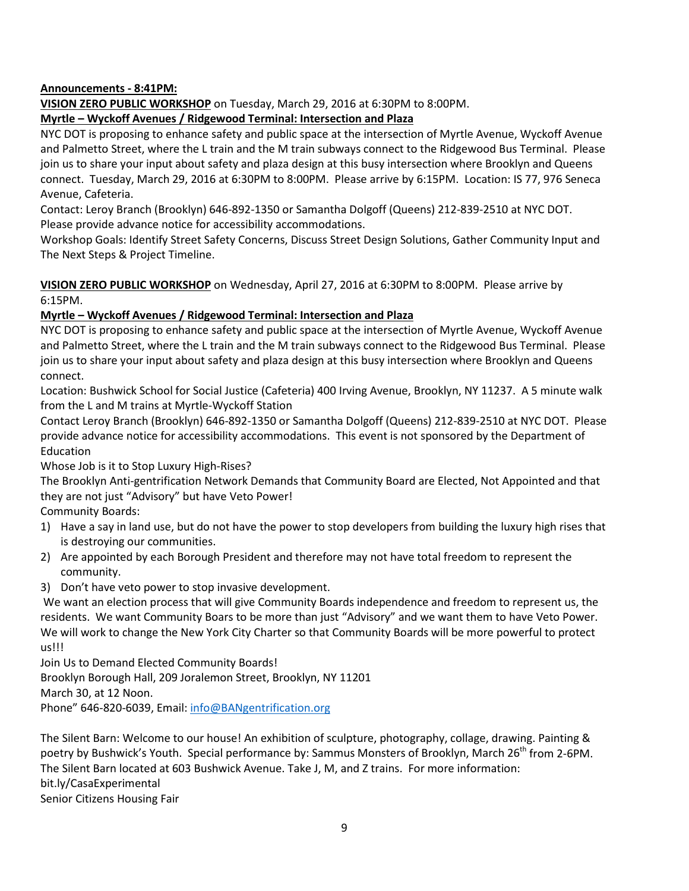### **Announcements - 8:41PM:**

**VISION ZERO PUBLIC WORKSHOP** on Tuesday, March 29, 2016 at 6:30PM to 8:00PM.

### **Myrtle – Wyckoff Avenues / Ridgewood Terminal: Intersection and Plaza**

NYC DOT is proposing to enhance safety and public space at the intersection of Myrtle Avenue, Wyckoff Avenue and Palmetto Street, where the L train and the M train subways connect to the Ridgewood Bus Terminal. Please join us to share your input about safety and plaza design at this busy intersection where Brooklyn and Queens connect. Tuesday, March 29, 2016 at 6:30PM to 8:00PM. Please arrive by 6:15PM. Location: IS 77, 976 Seneca Avenue, Cafeteria.

Contact: Leroy Branch (Brooklyn) 646-892-1350 or Samantha Dolgoff (Queens) 212-839-2510 at NYC DOT. Please provide advance notice for accessibility accommodations.

Workshop Goals: Identify Street Safety Concerns, Discuss Street Design Solutions, Gather Community Input and The Next Steps & Project Timeline.

**VISION ZERO PUBLIC WORKSHOP** on Wednesday, April 27, 2016 at 6:30PM to 8:00PM. Please arrive by 6:15PM.

### **Myrtle – Wyckoff Avenues / Ridgewood Terminal: Intersection and Plaza**

NYC DOT is proposing to enhance safety and public space at the intersection of Myrtle Avenue, Wyckoff Avenue and Palmetto Street, where the L train and the M train subways connect to the Ridgewood Bus Terminal. Please join us to share your input about safety and plaza design at this busy intersection where Brooklyn and Queens connect.

Location: Bushwick School for Social Justice (Cafeteria) 400 Irving Avenue, Brooklyn, NY 11237. A 5 minute walk from the L and M trains at Myrtle-Wyckoff Station

Contact Leroy Branch (Brooklyn) 646-892-1350 or Samantha Dolgoff (Queens) 212-839-2510 at NYC DOT. Please provide advance notice for accessibility accommodations. This event is not sponsored by the Department of Education

Whose Job is it to Stop Luxury High-Rises?

The Brooklyn Anti-gentrification Network Demands that Community Board are Elected, Not Appointed and that they are not just "Advisory" but have Veto Power!

Community Boards:

- 1) Have a say in land use, but do not have the power to stop developers from building the luxury high rises that is destroying our communities.
- 2) Are appointed by each Borough President and therefore may not have total freedom to represent the community.
- 3) Don't have veto power to stop invasive development.

We want an election process that will give Community Boards independence and freedom to represent us, the residents. We want Community Boars to be more than just "Advisory" and we want them to have Veto Power. We will work to change the New York City Charter so that Community Boards will be more powerful to protect us!!!

Join Us to Demand Elected Community Boards!

Brooklyn Borough Hall, 209 Joralemon Street, Brooklyn, NY 11201

March 30, at 12 Noon.

Phone" 646-820-6039, Email: [info@BANgentrification.org](mailto:info@BANgentrification.org)

The Silent Barn: Welcome to our house! An exhibition of sculpture, photography, collage, drawing. Painting & poetry by Bushwick's Youth. Special performance by: Sammus Monsters of Brooklyn, March 26<sup>th</sup> from 2-6PM. The Silent Barn located at 603 Bushwick Avenue. Take J, M, and Z trains. For more information: bit.ly/CasaExperimental Senior Citizens Housing Fair